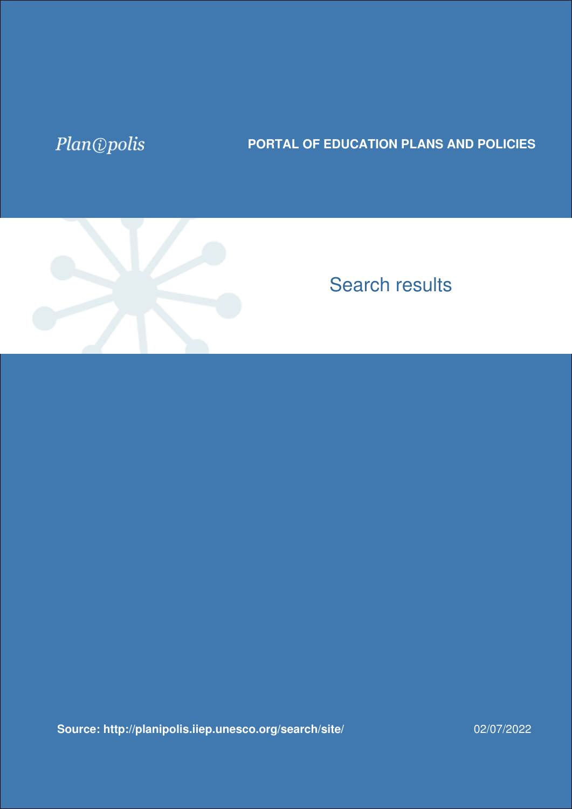## Plan@polis

## **PORTAL OF EDUCATION PLANS AND POLICIES**



## Search results

**[Source: http://planipolis.iiep.unesco.org/search/site/](https://planipolis.iiep.unesco.org/search/site?f%5B0%5D=im_field_countries%3A1177&f%5B1%5D=im_field_keywords%3A3200&f%5B2%5D=im_field_languages%3A1615&f%5B3%5D=im_field_countries%3A1209&f%5B4%5D=im_field_countries%3A1020&f%5B5%5D=im_field_countries%3A1094&f%5B6%5D=im_field_countries%3A1052&f%5B7%5D=im_field_ressource_type%3A1254&f%5B8%5D=im_field_countries%3A1102&solrsort=ss_country+asc%2Cits_field_year+desc)** 02/07/2022